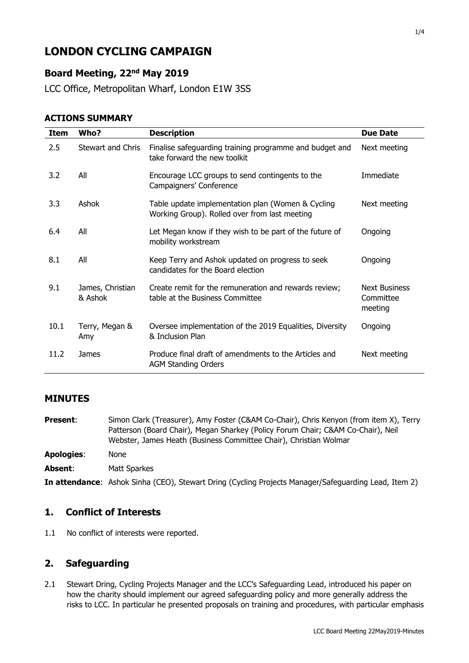# **LONDON CYCLING CAMPAIGN**

# **Board Meeting, 22nd May 2019**

LCC Office, Metropolitan Wharf, London E1W 3SS

#### **ACTIONS SUMMARY**

| <b>Item</b> | Who?                        | <b>Description</b>                                                                                 | <b>Due Date</b>                              |
|-------------|-----------------------------|----------------------------------------------------------------------------------------------------|----------------------------------------------|
| 2.5         | Stewart and Chris           | Finalise safeguarding training programme and budget and<br>take forward the new toolkit            | Next meeting                                 |
| 3.2         | All                         | Encourage LCC groups to send contingents to the<br>Campaigners' Conference                         | Immediate                                    |
| 3.3         | Ashok                       | Table update implementation plan (Women & Cycling<br>Working Group). Rolled over from last meeting | Next meeting                                 |
| 6.4         | All                         | Let Megan know if they wish to be part of the future of<br>mobility workstream                     | Ongoing                                      |
| 8.1         | All                         | Keep Terry and Ashok updated on progress to seek<br>candidates for the Board election              | Ongoing                                      |
| 9.1         | James, Christian<br>& Ashok | Create remit for the remuneration and rewards review;<br>table at the Business Committee           | <b>Next Business</b><br>Committee<br>meeting |
| 10.1        | Terry, Megan &<br>Amy       | Oversee implementation of the 2019 Equalities, Diversity<br>& Inclusion Plan                       | Ongoing                                      |
| 11.2        | James                       | Produce final draft of amendments to the Articles and<br><b>AGM Standing Orders</b>                | Next meeting                                 |

### **MINUTES**

**Present:** Simon Clark (Treasurer), Amy Foster (C&AM Co-Chair), Chris Kenyon (from item X), Terry Patterson (Board Chair), Megan Sharkey (Policy Forum Chair; C&AM Co-Chair), Neil Webster, James Heath (Business Committee Chair), Christian Wolmar **Apologies**: None **Absent**: Matt Sparkes

#### **In attendance**: Ashok Sinha (CEO), Stewart Dring (Cycling Projects Manager/Safeguarding Lead, Item 2)

### **1. Conflict of Interests**

1.1 No conflict of interests were reported.

# **2. Safeguarding**

2.1 Stewart Dring, Cycling Projects Manager and the LCC's Safeguarding Lead, introduced his paper on how the charity should implement our agreed safeguarding policy and more generally address the risks to LCC. In particular he presented proposals on training and procedures, with particular emphasis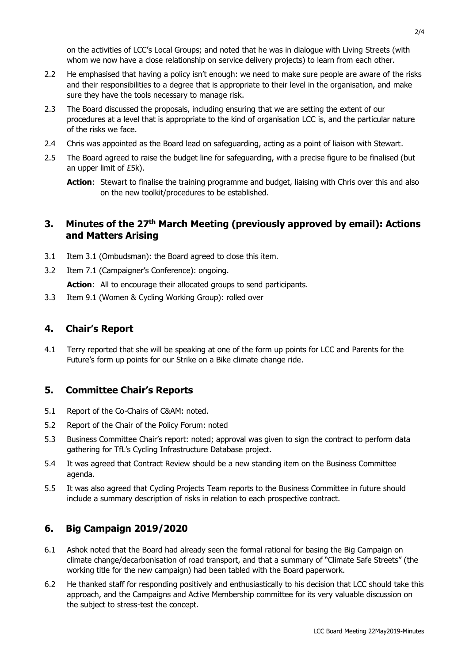on the activities of LCC's Local Groups; and noted that he was in dialogue with Living Streets (with whom we now have a close relationship on service delivery projects) to learn from each other.

- 2.2 He emphasised that having a policy isn't enough: we need to make sure people are aware of the risks and their responsibilities to a degree that is appropriate to their level in the organisation, and make sure they have the tools necessary to manage risk.
- 2.3 The Board discussed the proposals, including ensuring that we are setting the extent of our procedures at a level that is appropriate to the kind of organisation LCC is, and the particular nature of the risks we face.
- 2.4 Chris was appointed as the Board lead on safeguarding, acting as a point of liaison with Stewart.
- 2.5 The Board agreed to raise the budget line for safeguarding, with a precise figure to be finalised (but an upper limit of £5k).

### **3. Minutes of the 27th March Meeting (previously approved by email): Actions and Matters Arising**

- 3.1 Item 3.1 (Ombudsman): the Board agreed to close this item.
- 3.2 Item 7.1 (Campaigner's Conference): ongoing.

Action: All to encourage their allocated groups to send participants.

3.3 Item 9.1 (Women & Cycling Working Group): rolled over

### **4. Chair's Report**

4.1 Terry reported that she will be speaking at one of the form up points for LCC and Parents for the Future's form up points for our Strike on a Bike climate change ride.

# **5. Committee Chair's Reports**

- 5.1 Report of the Co-Chairs of C&AM: noted.
- 5.2 Report of the Chair of the Policy Forum: noted
- 5.3 Business Committee Chair's report: noted; approval was given to sign the contract to perform data gathering for TfL's Cycling Infrastructure Database project.
- 5.4 It was agreed that Contract Review should be a new standing item on the Business Committee agenda.
- 5.5 It was also agreed that Cycling Projects Team reports to the Business Committee in future should include a summary description of risks in relation to each prospective contract.

### **6. Big Campaign 2019/2020**

- 6.1 Ashok noted that the Board had already seen the formal rational for basing the Big Campaign on climate change/decarbonisation of road transport, and that a summary of "Climate Safe Streets" (the working title for the new campaign) had been tabled with the Board paperwork.
- 6.2 He thanked staff for responding positively and enthusiastically to his decision that LCC should take this approach, and the Campaigns and Active Membership committee for its very valuable discussion on the subject to stress-test the concept.

**Action**: Stewart to finalise the training programme and budget, liaising with Chris over this and also on the new toolkit/procedures to be established.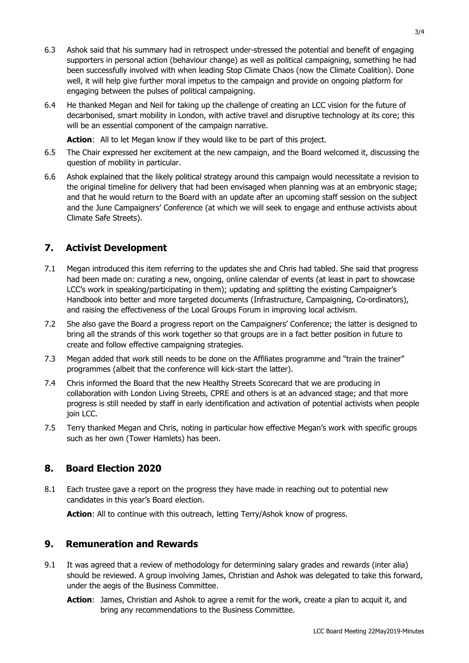- 6.3 Ashok said that his summary had in retrospect under-stressed the potential and benefit of engaging supporters in personal action (behaviour change) as well as political campaigning, something he had been successfully involved with when leading Stop Climate Chaos (now the Climate Coalition). Done well, it will help give further moral impetus to the campaign and provide on ongoing platform for engaging between the pulses of political campaigning.
- 6.4 He thanked Megan and Neil for taking up the challenge of creating an LCC vision for the future of decarbonised, smart mobility in London, with active travel and disruptive technology at its core; this will be an essential component of the campaign narrative.

Action: All to let Megan know if they would like to be part of this project.

- 6.5 The Chair expressed her excitement at the new campaign, and the Board welcomed it, discussing the question of mobility in particular.
- 6.6 Ashok explained that the likely political strategy around this campaign would necessitate a revision to the original timeline for delivery that had been envisaged when planning was at an embryonic stage; and that he would return to the Board with an update after an upcoming staff session on the subject and the June Campaigners' Conference (at which we will seek to engage and enthuse activists about Climate Safe Streets).

# **7. Activist Development**

- 7.1 Megan introduced this item referring to the updates she and Chris had tabled. She said that progress had been made on: curating a new, ongoing, online calendar of events (at least in part to showcase LCC's work in speaking/participating in them); updating and splitting the existing Campaigner's Handbook into better and more targeted documents (Infrastructure, Campaigning, Co-ordinators), and raising the effectiveness of the Local Groups Forum in improving local activism.
- 7.2 She also gave the Board a progress report on the Campaigners' Conference; the latter is designed to bring all the strands of this work together so that groups are in a fact better position in future to create and follow effective campaigning strategies.
- 7.3 Megan added that work still needs to be done on the Affiliates programme and "train the trainer" programmes (albeit that the conference will kick-start the latter).
- 7.4 Chris informed the Board that the new Healthy Streets Scorecard that we are producing in collaboration with London Living Streets, CPRE and others is at an advanced stage; and that more progress is still needed by staff in early identification and activation of potential activists when people join LCC.
- 7.5 Terry thanked Megan and Chris, noting in particular how effective Megan's work with specific groups such as her own (Tower Hamlets) has been.

# **8. Board Election 2020**

8.1 Each trustee gave a report on the progress they have made in reaching out to potential new candidates in this year's Board election.

**Action:** All to continue with this outreach, letting Terry/Ashok know of progress.

### **9. Remuneration and Rewards**

- 9.1 It was agreed that a review of methodology for determining salary grades and rewards (inter alia) should be reviewed. A group involving James, Christian and Ashok was delegated to take this forward, under the aegis of the Business Committee.
	- **Action**: James, Christian and Ashok to agree a remit for the work, create a plan to acquit it, and bring any recommendations to the Business Committee.